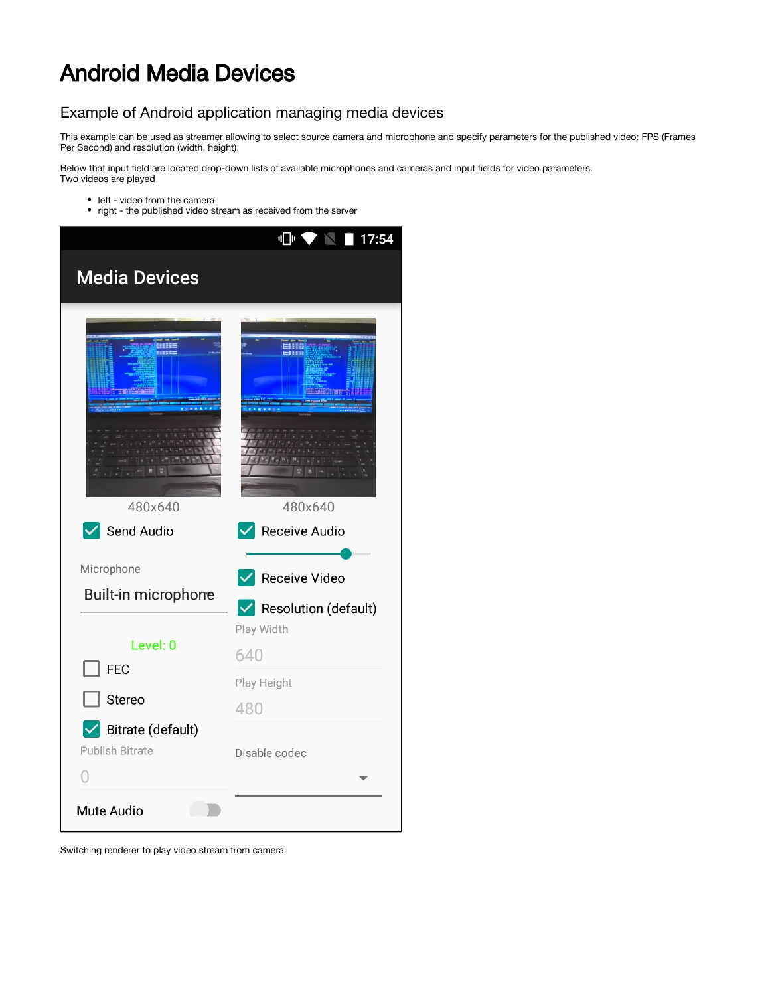# Android Media Devices

# Example of Android application managing media devices

This example can be used as streamer allowing to select source camera and microphone and specify parameters for the published video: FPS (Frames Per Second) and resolution (width, height).

Below that input field are located drop-down lists of available microphones and cameras and input fields for video parameters. Two videos are played

- left video from the camera
- right the published video stream as received from the server



Switching renderer to play video stream from camera: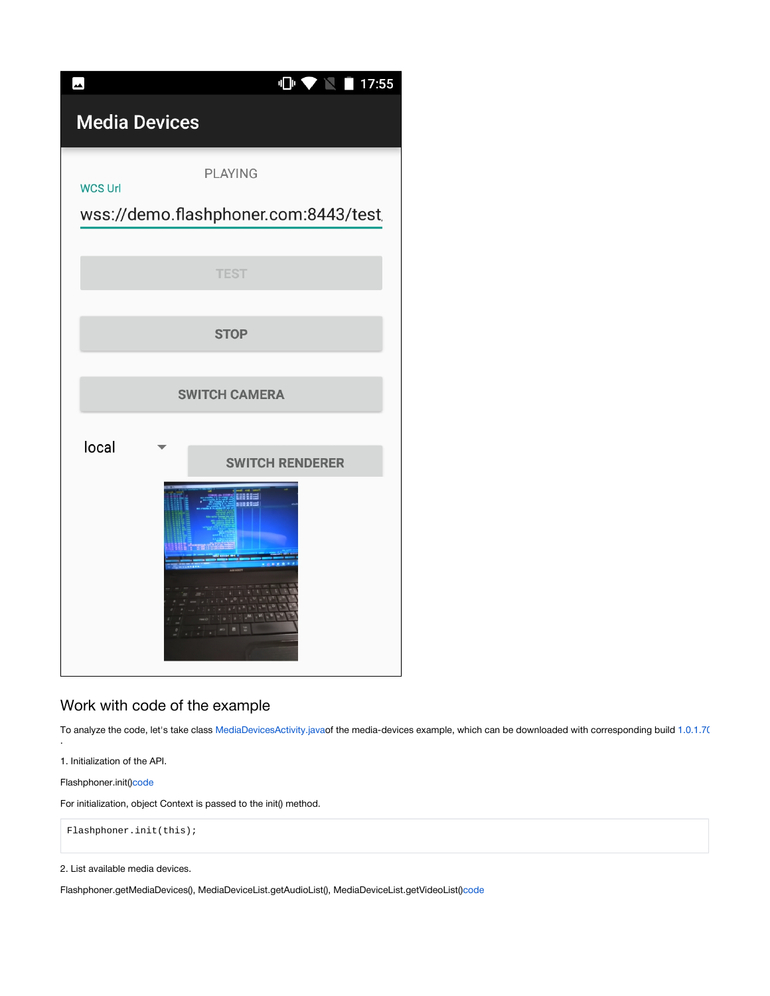| $\overline{\phantom{a}}$ | $\mathbf{C} \blacktriangleright \mathbf{C} \blacktriangleright \mathbf{C}$<br>17:55 |
|--------------------------|-------------------------------------------------------------------------------------|
| <b>Media Devices</b>     |                                                                                     |
| <b>WCS Url</b>           | <b>PLAYING</b><br>wss://demo.flashphoner.com:8443/test                              |
|                          | <b>TEST</b>                                                                         |
|                          | <b>STOP</b>                                                                         |
| <b>SWITCH CAMERA</b>     |                                                                                     |
| local                    | <b>SWITCH RENDERER</b><br>崩壊期                                                       |

# Work with code of the example

To analyze the code, let's take class [MediaDevicesActivity.javao](https://github.com/flashphoner/wcs-android-sdk-samples/blob/de75c0a59e49b30e3d1ed933ff07578651e49d4a/media-devices/src/main/java/com/flashphoner/wcsexample/mediadevices/MediaDevicesActivity.java)f the media-devices example, which can be downloaded with corresponding build [1.0.1.70](https://flashphoner.com/downloads/builds/flashphoner_client/wcs-android-sdk/1.0/wcs-android-sdk-1.0.1.70-30acadd1f221211d5867d13ad7ee97baff924d5f.tar.gz)

1. Initialization of the API.

Flashphoner.init([\)code](https://github.com/flashphoner/wcs-android-sdk-samples/blob/0bcbc8cd718f4411bcc8d9e13fd94bcaae498441/media-devices/src/main/java/com/flashphoner/wcsexample/mediadevices/MediaDevicesActivity.java#L139)

.

For initialization, object Context is passed to the init() method.

Flashphoner.init(this);

2. List available media devices.

Flashphoner.getMediaDevices(), MediaDeviceList.getAudioList(), MediaDeviceList.getVideoList([\)code](https://github.com/flashphoner/wcs-android-sdk-samples/blob/0bcbc8cd718f4411bcc8d9e13fd94bcaae498441/media-devices/src/main/java/com/flashphoner/wcsexample/mediadevices/MediaDevicesActivity.java#L151)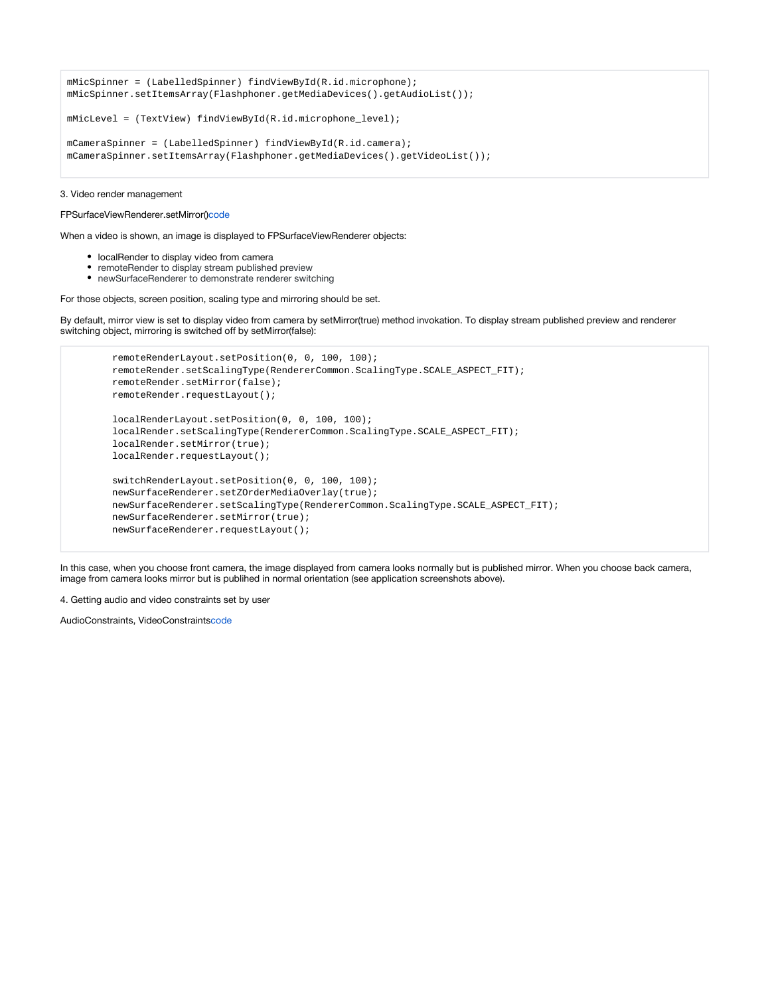```
mMicSpinner = (LabelledSpinner) findViewById(R.id.microphone);
mMicSpinner.setItemsArray(Flashphoner.getMediaDevices().getAudioList());
mMicLevel = (TextView) findViewById(R.id.microphone_level);
mCameraSpinner = (LabelledSpinner) findViewById(R.id.camera);
mCameraSpinner.setItemsArray(Flashphoner.getMediaDevices().getVideoList());
```
#### 3. Video render management

#### FPSurfaceViewRenderer.setMirror()[code](https://github.com/flashphoner/wcs-android-sdk-samples/blob/0bcbc8cd718f4411bcc8d9e13fd94bcaae498441/media-devices/src/main/java/com/flashphoner/wcsexample/mediadevices/MediaDevicesActivity.java#L654)

When a video is shown, an image is displayed to FPSurfaceViewRenderer objects:

- localRender to display video from camera
- remoteRender to display stream published preview
- newSurfaceRenderer to demonstrate renderer switching

For those objects, screen position, scaling type and mirroring should be set.

By default, mirror view is set to display video from camera by setMirror(true) method invokation. To display stream published preview and renderer switching object, mirroring is switched off by setMirror(false):

```
 remoteRenderLayout.setPosition(0, 0, 100, 100);
 remoteRender.setScalingType(RendererCommon.ScalingType.SCALE_ASPECT_FIT);
 remoteRender.setMirror(false);
 remoteRender.requestLayout();
 localRenderLayout.setPosition(0, 0, 100, 100);
 localRender.setScalingType(RendererCommon.ScalingType.SCALE_ASPECT_FIT);
 localRender.setMirror(true);
 localRender.requestLayout();
 switchRenderLayout.setPosition(0, 0, 100, 100);
 newSurfaceRenderer.setZOrderMediaOverlay(true);
 newSurfaceRenderer.setScalingType(RendererCommon.ScalingType.SCALE_ASPECT_FIT);
 newSurfaceRenderer.setMirror(true);
 newSurfaceRenderer.requestLayout();
```
In this case, when you choose front camera, the image displayed from camera looks normally but is published mirror. When you choose back camera, image from camera looks mirror but is publihed in normal orientation (see application screenshots above).

4. Getting audio and video constraints set by user

AudioConstraints, VideoConstraints[code](https://github.com/flashphoner/wcs-android-sdk-samples/blob/0bcbc8cd718f4411bcc8d9e13fd94bcaae498441/media-devices/src/main/java/com/flashphoner/wcsexample/mediadevices/MediaDevicesActivity.java#L671)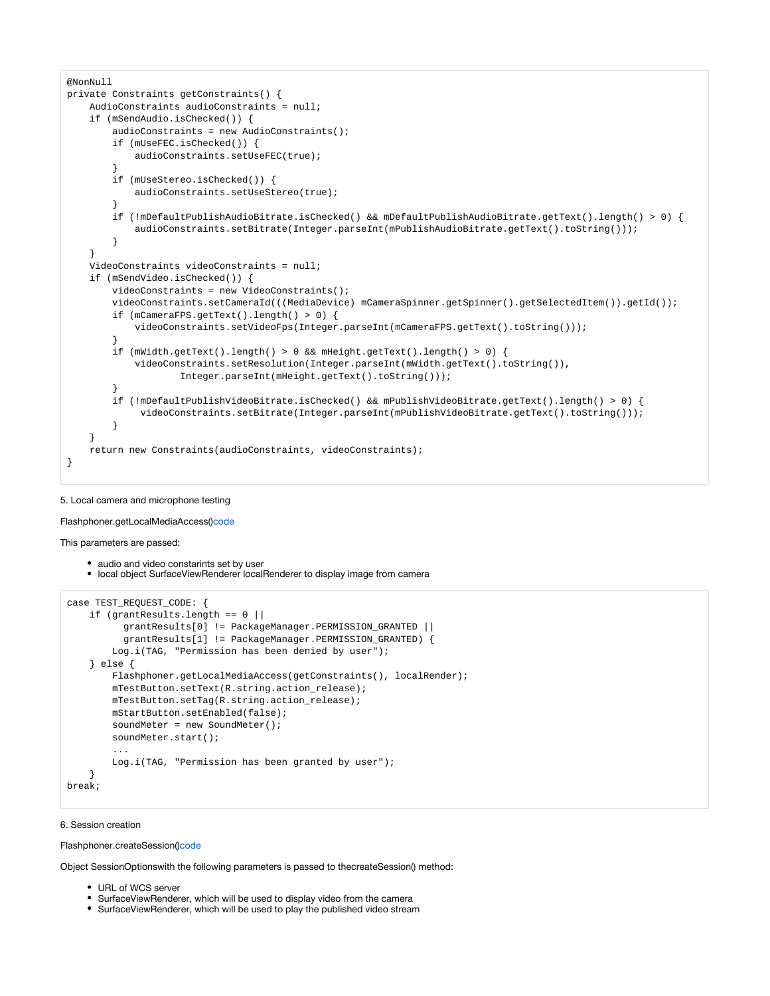```
@NonNull
private Constraints getConstraints() {
    AudioConstraints audioConstraints = null;
    if (mSendAudio.isChecked()) {
       audioConstraints = new AudioConstraints();
        if (mUseFEC.isChecked()) {
             audioConstraints.setUseFEC(true);
 }
        if (mUseStereo.isChecked()) {
             audioConstraints.setUseStereo(true);
 }
        if (!mDefaultPublishAudioBitrate.isChecked() && mDefaultPublishAudioBitrate.getText().length() > 0) {
            audioConstraints.setBitrate(Integer.parseInt(mPublishAudioBitrate.getText().toString()));
         }
 }
    VideoConstraints videoConstraints = null;
     if (mSendVideo.isChecked()) {
        videoConstraints = new VideoConstraints();
        videoConstraints.setCameraId(((MediaDevice) mCameraSpinner.getSpinner().getSelectedItem()).getId());
        if (mCameraFPS.getText().length() > 0) {
            videoConstraints.setVideoFps(Integer.parseInt(mCameraFPS.getText().toString()));
 }
         if (mWidth.getText().length() > 0 && mHeight.getText().length() > 0) {
            videoConstraints.setResolution(Integer.parseInt(mWidth.getText().toString()),
                     Integer.parseInt(mHeight.getText().toString()));
 }
        if (!mDefaultPublishVideoBitrate.isChecked() && mPublishVideoBitrate.getText().length() > 0) {
             videoConstraints.setBitrate(Integer.parseInt(mPublishVideoBitrate.getText().toString()));
         }
 }
    return new Constraints(audioConstraints, videoConstraints);
}
```
#### 5. Local camera and microphone testing

Flashphoner.getLocalMediaAccess()[code](https://github.com/flashphoner/wcs-android-sdk-samples/blob/0bcbc8cd718f4411bcc8d9e13fd94bcaae498441/media-devices/src/main/java/com/flashphoner/wcsexample/mediadevices/MediaDevicesActivity.java#L725)

This parameters are passed:

• audio and video constarints set by user local object SurfaceViewRenderer localRenderer to display image from camera

```
case TEST_REQUEST_CODE: {
    if (grantResults.length == 0 ||
           grantResults[0] != PackageManager.PERMISSION_GRANTED ||
           grantResults[1] != PackageManager.PERMISSION_GRANTED) {
        Log.i(TAG, "Permission has been denied by user");
     } else {
        Flashphoner.getLocalMediaAccess(getConstraints(), localRender);
        mTestButton.setText(R.string.action_release);
        mTestButton.setTag(R.string.action_release);
        mStartButton.setEnabled(false);
       soundMeter = new SoundMeter();
        soundMeter.start();
         ...
        Log.i(TAG, "Permission has been granted by user");
 }
break;
```
#### 6. Session creation

Flashphoner.createSession([\)code](https://github.com/flashphoner/wcs-android-sdk-samples/blob/0bcbc8cd718f4411bcc8d9e13fd94bcaae498441/media-devices/src/main/java/com/flashphoner/wcsexample/mediadevices/MediaDevicesActivity.java#L317)

Object SessionOptionswith the following parameters is passed to thecreateSession() method:

- URL of WCS server
- SurfaceViewRenderer, which will be used to display video from the camera
- SurfaceViewRenderer, which will be used to play the published video stream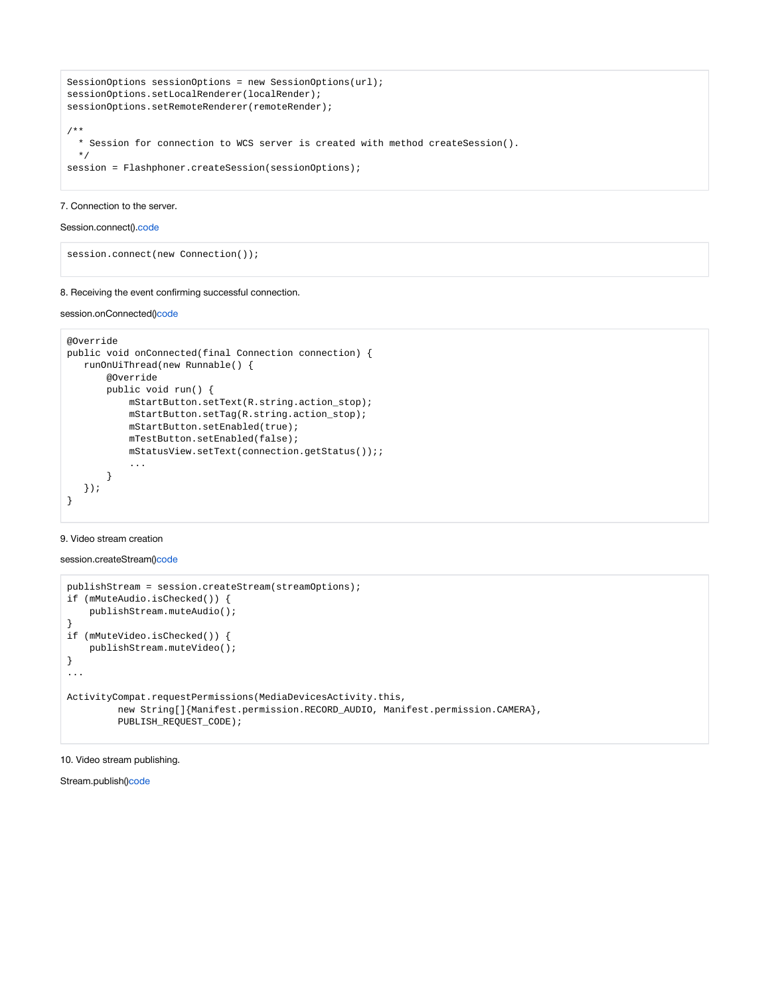```
SessionOptions sessionOptions = new SessionOptions(url);
sessionOptions.setLocalRenderer(localRender);
sessionOptions.setRemoteRenderer(remoteRender);
/**
  * Session for connection to WCS server is created with method createSession().
  */
session = Flashphoner.createSession(sessionOptions);
```
# 7. Connection to the server.

# Session.connect().[code](https://github.com/flashphoner/wcs-android-sdk-samples/blob/0bcbc8cd718f4411bcc8d9e13fd94bcaae498441/media-devices/src/main/java/com/flashphoner/wcsexample/mediadevices/MediaDevicesActivity.java#L485)

session.connect(new Connection());

# 8. Receiving the event confirming successful connection.

# session.onConnected()[code](https://github.com/flashphoner/wcs-android-sdk-samples/blob/0bcbc8cd718f4411bcc8d9e13fd94bcaae498441/media-devices/src/main/java/com/flashphoner/wcsexample/mediadevices/MediaDevicesActivity.java#L335)

```
@Override
public void onConnected(final Connection connection) {
   runOnUiThread(new Runnable() {
        @Override
        public void run() {
            mStartButton.setText(R.string.action_stop);
            mStartButton.setTag(R.string.action_stop);
            mStartButton.setEnabled(true);
            mTestButton.setEnabled(false);
            mStatusView.setText(connection.getStatus());;
            ...
        }
   });
}
```
# 9. Video stream creation

session.createStream()[code](https://github.com/flashphoner/wcs-android-sdk-samples/blob/0bcbc8cd718f4411bcc8d9e13fd94bcaae498441/media-devices/src/main/java/com/flashphoner/wcsexample/mediadevices/MediaDevicesActivity.java#L361)

```
publishStream = session.createStream(streamOptions);
if (mMuteAudio.isChecked()) {
    publishStream.muteAudio();
}
if (mMuteVideo.isChecked()) {
    publishStream.muteVideo();
}
...
ActivityCompat.requestPermissions(MediaDevicesActivity.this,
          new String[]{Manifest.permission.RECORD_AUDIO, Manifest.permission.CAMERA},
          PUBLISH_REQUEST_CODE);
```
# 10. Video stream publishing.

Stream.publish([\)code](https://github.com/flashphoner/wcs-android-sdk-samples/blob/0bcbc8cd718f4411bcc8d9e13fd94bcaae498441/media-devices/src/main/java/com/flashphoner/wcsexample/mediadevices/MediaDevicesActivity.java#L708)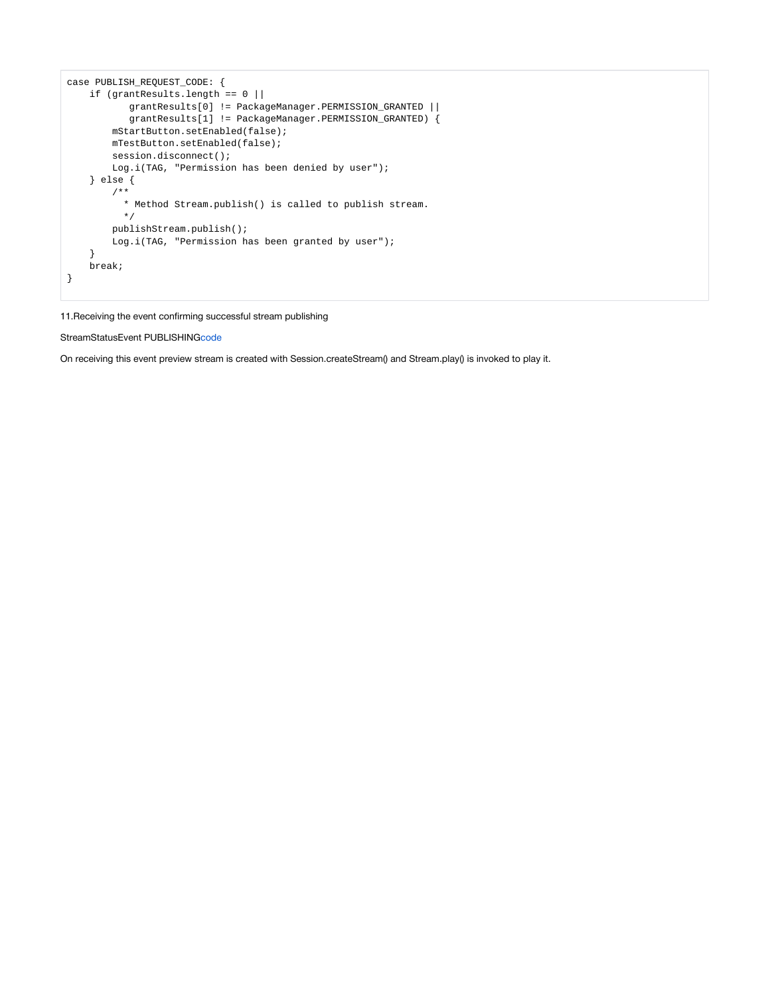```
case PUBLISH_REQUEST_CODE: {
   if (grantResults.length == 0 |) grantResults[0] != PackageManager.PERMISSION_GRANTED ||
            grantResults[1] != PackageManager.PERMISSION_GRANTED) {
        mStartButton.setEnabled(false);
        mTestButton.setEnabled(false);
        session.disconnect();
        Log.i(TAG, "Permission has been denied by user");
     } else {
         /**
          * Method Stream.publish() is called to publish stream.
           */
        publishStream.publish();
        Log.i(TAG, "Permission has been granted by user");
     }
    break;
}
```
11.Receiving the event confirming successful stream publishing

StreamStatusEvent PUBLISHING[code](https://github.com/flashphoner/wcs-android-sdk-samples/blob/0bcbc8cd718f4411bcc8d9e13fd94bcaae498441/media-devices/src/main/java/com/flashphoner/wcsexample/mediadevices/MediaDevicesActivity.java#L371)

On receiving this event preview stream is created with Session.createStream() and Stream.play() is invoked to play it.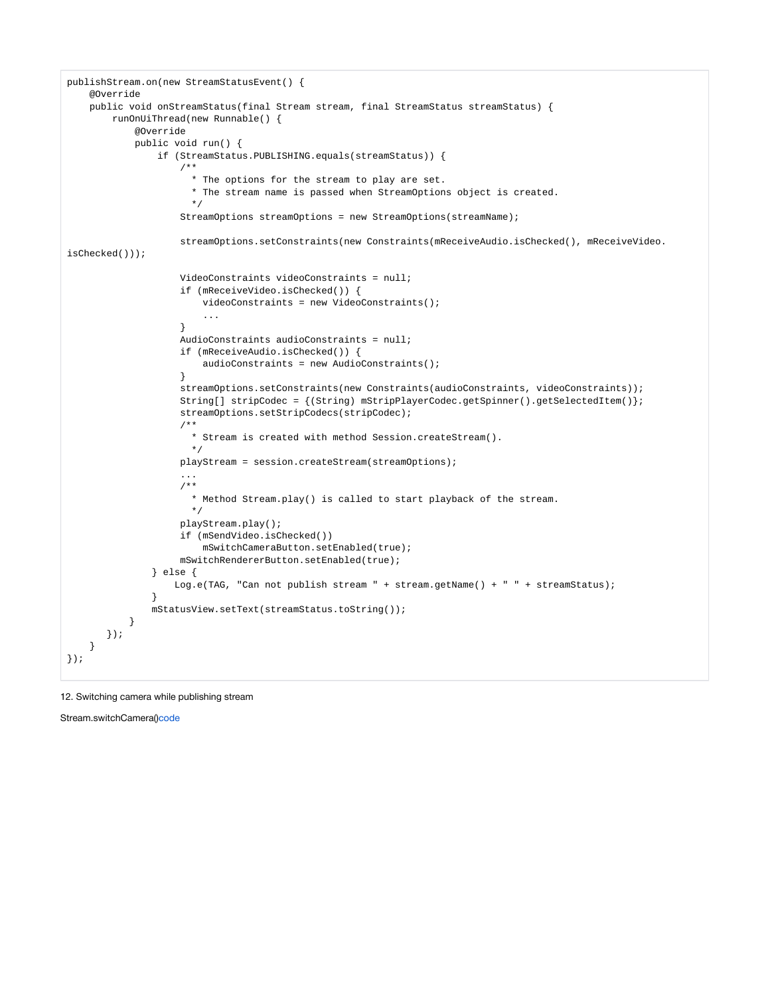```
publishStream.on(new StreamStatusEvent() {
    @Override
    public void onStreamStatus(final Stream stream, final StreamStatus streamStatus) {
        runOnUiThread(new Runnable() {
            @Override
            public void run() {
               if (StreamStatus.PUBLISHING.equals(streamStatus)) {
 /**
                     * The options for the stream to play are set.
                     * The stream name is passed when StreamOptions object is created.
\star/ StreamOptions streamOptions = new StreamOptions(streamName);
                   streamOptions.setConstraints(new Constraints(mReceiveAudio.isChecked(), mReceiveVideo.
isChecked()));
                   VideoConstraints videoConstraints = null;
                   if (mReceiveVideo.isChecked()) {
                       videoConstraints = new VideoConstraints();
 ...
 }
                   AudioConstraints audioConstraints = null;
                   if (mReceiveAudio.isChecked()) {
                       audioConstraints = new AudioConstraints();
 }
                   streamOptions.setConstraints(new Constraints(audioConstraints, videoConstraints));
                   String[] stripCodec = {(String) mStripPlayerCodec.getSpinner().getSelectedItem()};
                   streamOptions.setStripCodecs(stripCodec);
 /**
                     * Stream is created with method Session.createStream().
\star/ playStream = session.createStream(streamOptions);
                   ...
                   /**
                     * Method Stream.play() is called to start playback of the stream.
\star/ playStream.play();
                   if (mSendVideo.isChecked())
                       mSwitchCameraButton.setEnabled(true);
                   mSwitchRendererButton.setEnabled(true);
              } else {
                  Log.e(TAG, "Can not publish stream " + stream.getName() + " " + streamStatus);
 }
              mStatusView.setText(streamStatus.toString());
          }
      });
    }
});
```
# 12. Switching camera while publishing stream

Stream.switchCamera([\)code](https://github.com/flashphoner/wcs-android-sdk-samples/blob/0bcbc8cd718f4411bcc8d9e13fd94bcaae498441/media-devices/src/main/java/com/flashphoner/wcsexample/mediadevices/MediaDevicesActivity.java#L540)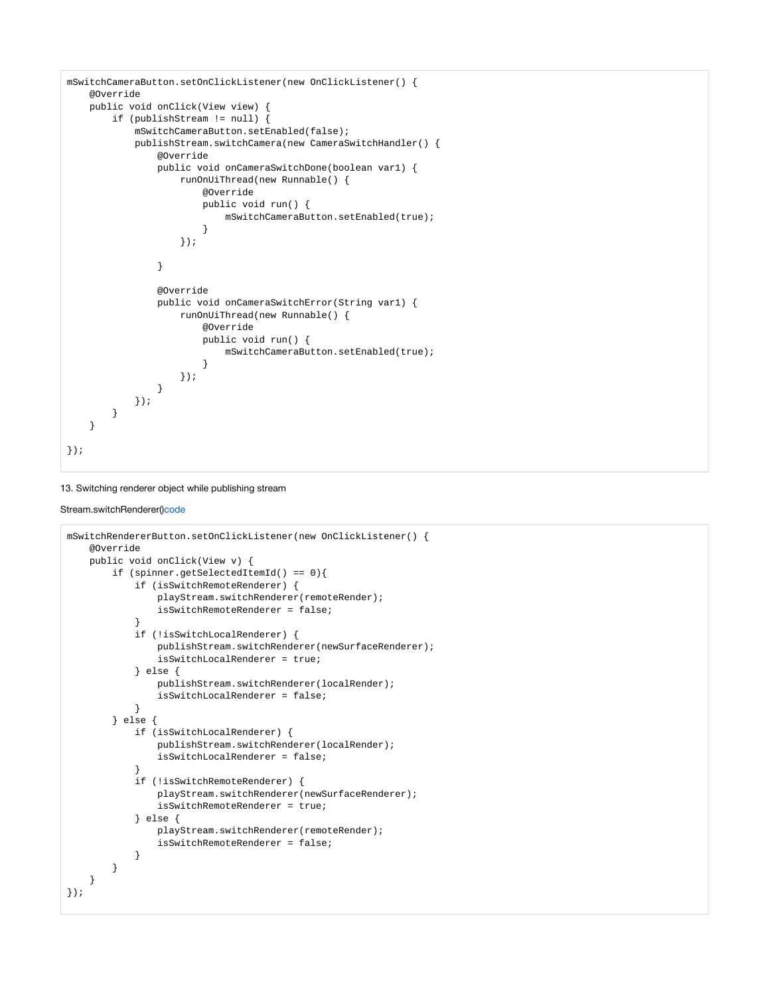```
mSwitchCameraButton.setOnClickListener(new OnClickListener() {
    @Override
    public void onClick(View view) {
        if (publishStream != null) {
            mSwitchCameraButton.setEnabled(false);
            publishStream.switchCamera(new CameraSwitchHandler() {
               @Override
               public void onCameraSwitchDone(boolean var1) {
                   runOnUiThread(new Runnable() {
                       @Override
                       public void run() {
                          mSwitchCameraButton.setEnabled(true);
 }
                   });
 }
               @Override
               public void onCameraSwitchError(String var1) {
                   runOnUiThread(new Runnable() {
                       @Override
                       public void run() {
                           mSwitchCameraButton.setEnabled(true);
 }
                   });
 }
          });
       }
    }
});
```
# 13. Switching renderer object while publishing stream

# Stream.switchRenderer()[code](https://github.com/flashphoner/wcs-android-sdk-samples/blob/0bcbc8cd718f4411bcc8d9e13fd94bcaae498441/media-devices/src/main/java/com/flashphoner/wcsexample/mediadevices/MediaDevicesActivity.java#L572)

```
mSwitchRendererButton.setOnClickListener(new OnClickListener() {
    @Override
    public void onClick(View v) {
        if (spinner.getSelectedItemId() == 0){
            if (isSwitchRemoteRenderer) {
                playStream.switchRenderer(remoteRender);
                isSwitchRemoteRenderer = false;
 }
            if (!isSwitchLocalRenderer) {
                publishStream.switchRenderer(newSurfaceRenderer);
                isSwitchLocalRenderer = true;
            } else {
                publishStream.switchRenderer(localRender);
                isSwitchLocalRenderer = false;
 }
        } else {
            if (isSwitchLocalRenderer) {
                publishStream.switchRenderer(localRender);
                isSwitchLocalRenderer = false;
 }
            if (!isSwitchRemoteRenderer) {
                playStream.switchRenderer(newSurfaceRenderer);
                isSwitchRemoteRenderer = true;
            } else {
                playStream.switchRenderer(remoteRender);
                isSwitchRemoteRenderer = false;
 }
       }
    }
});
```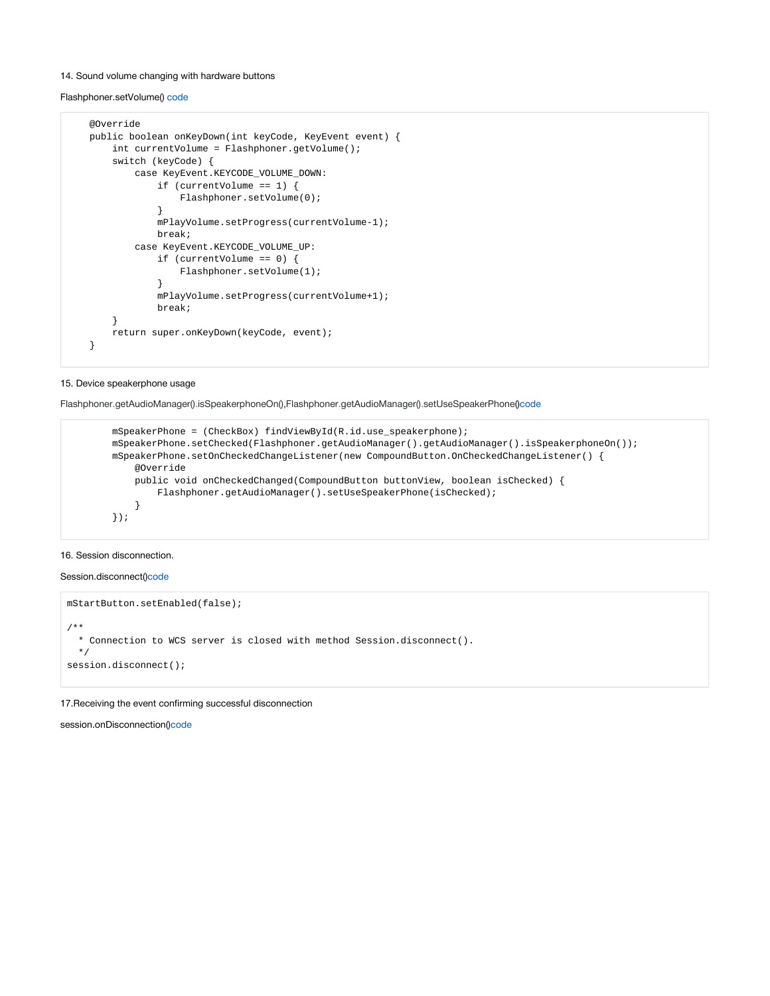#### 14. Sound volume changing with hardware buttons

Flashphoner.setVolume() [code](https://github.com/flashphoner/wcs-android-sdk-samples/blob/0bcbc8cd718f4411bcc8d9e13fd94bcaae498441/media-devices/src/main/java/com/flashphoner/wcsexample/mediadevices/MediaDevicesActivity.java#L756)

```
 @Override
    public boolean onKeyDown(int keyCode, KeyEvent event) {
        int currentVolume = Flashphoner.getVolume();
        switch (keyCode) {
           case KeyEvent.KEYCODE_VOLUME_DOWN:
                if (currentVolume == 1) {
                    Flashphoner.setVolume(0);
 }
                mPlayVolume.setProgress(currentVolume-1);
                break;
            case KeyEvent.KEYCODE_VOLUME_UP:
                if (currentVolume == 0) {
                    Flashphoner.setVolume(1);
 }
                mPlayVolume.setProgress(currentVolume+1);
               break;
 }
        return super.onKeyDown(keyCode, event);
    }
```
# 15. Device speakerphone usage

Flashphoner.getAudioManager().isSpeakerphoneOn(),Flashphoner.getAudioManager().setUseSpeakerPhone()[code](https://github.com/flashphoner/wcs-android-sdk-samples/blob/de75c0a59e49b30e3d1ed933ff07578651e49d4a/media-devices/src/main/java/com/flashphoner/wcsexample/mediadevices/MediaDevicesActivity.java#L236)

```
 mSpeakerPhone = (CheckBox) findViewById(R.id.use_speakerphone);
        mSpeakerPhone.setChecked(Flashphoner.getAudioManager().getAudioManager().isSpeakerphoneOn());
        mSpeakerPhone.setOnCheckedChangeListener(new CompoundButton.OnCheckedChangeListener() {
            @Override
            public void onCheckedChanged(CompoundButton buttonView, boolean isChecked) {
                Flashphoner.getAudioManager().setUseSpeakerPhone(isChecked);
 }
        });
```
# 16. Session disconnection.

Session.disconnect([\)code](https://github.com/flashphoner/wcs-android-sdk-samples/blob/0bcbc8cd718f4411bcc8d9e13fd94bcaae498441/media-devices/src/main/java/com/flashphoner/wcsexample/mediadevices/MediaDevicesActivity.java#L479)

```
mStartButton.setEnabled(false);
/**
  * Connection to WCS server is closed with method Session.disconnect().
  */
session.disconnect();
```
17.Receiving the event confirming successful disconnection

session.onDisconnection()[code](https://github.com/flashphoner/wcs-android-sdk-samples/blob/0bcbc8cd718f4411bcc8d9e13fd94bcaae498441/media-devices/src/main/java/com/flashphoner/wcsexample/mediadevices/MediaDevicesActivity.java#L462)